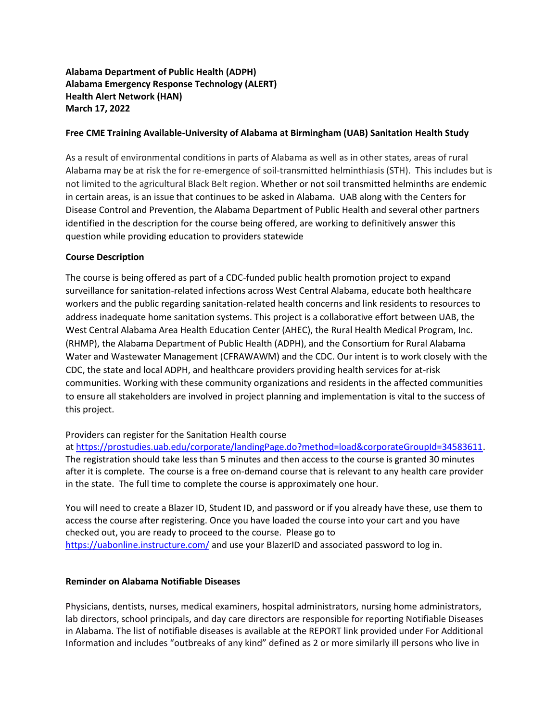# **Alabama Department of Public Health (ADPH) Alabama Emergency Response Technology (ALERT) Health Alert Network (HAN) March 17, 2022**

# **Free CME Training Available-University of Alabama at Birmingham (UAB) Sanitation Health Study**

As a result of environmental conditions in parts of Alabama as well as in other states, areas of rural Alabama may be at risk the for re-emergence of soil-transmitted helminthiasis (STH). This includes but is not limited to the agricultural Black Belt region. Whether or not soil transmitted helminths are endemic in certain areas, is an issue that continues to be asked in Alabama. UAB along with the Centers for Disease Control and Prevention, the Alabama Department of Public Health and several other partners identified in the description for the course being offered, are working to definitively answer this question while providing education to providers statewide

### **Course Description**

The course is being offered as part of a CDC-funded public health promotion project to expand surveillance for sanitation-related infections across West Central Alabama, educate both healthcare workers and the public regarding sanitation-related health concerns and link residents to resources to address inadequate home sanitation systems. This project is a collaborative effort between UAB, the West Central Alabama Area Health Education Center (AHEC), the Rural Health Medical Program, Inc. (RHMP), the Alabama Department of Public Health (ADPH), and the Consortium for Rural Alabama Water and Wastewater Management (CFRAWAWM) and the CDC. Our intent is to work closely with the CDC, the state and local ADPH, and healthcare providers providing health services for at-risk communities. Working with these community organizations and residents in the affected communities to ensure all stakeholders are involved in project planning and implementation is vital to the success of this project.

# Providers can register for the Sanitation Health course

at [https://prostudies.uab.edu/corporate/landingPage.do?method=load&corporateGroupId=34583611.](https://prostudies.uab.edu/corporate/landingPage.do?method=load&corporateGroupId=34583611) The registration should take less than 5 minutes and then access to the course is granted 30 minutes after it is complete. The course is a free on-demand course that is relevant to any health care provider in the state. The full time to complete the course is approximately one hour.

You will need to create a Blazer ID, Student ID, and password or if you already have these, use them to access the course after registering. Once you have loaded the course into your cart and you have checked out, you are ready to proceed to the course. Please go to <https://uabonline.instructure.com/> and use your BlazerID and associated password to log in.

#### **Reminder on Alabama Notifiable Diseases**

Physicians, dentists, nurses, medical examiners, hospital administrators, nursing home administrators, lab directors, school principals, and day care directors are responsible for reporting Notifiable Diseases in Alabama. The list of notifiable diseases is available at the REPORT link provided under For Additional Information and includes "outbreaks of any kind" defined as 2 or more similarly ill persons who live in